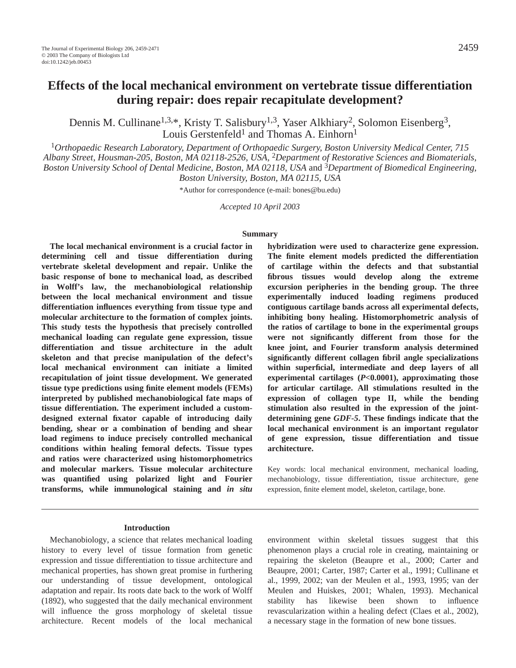Dennis M. Cullinane<sup>1,3,\*</sup>, Kristy T. Salisbury<sup>1,3</sup>, Yaser Alkhiary<sup>2</sup>, Solomon Eisenberg<sup>3</sup>, Louis Gerstenfeld<sup>1</sup> and Thomas A. Einhorn<sup>1</sup>

<sup>1</sup>*Orthopaedic Research Laboratory, Department of Orthopaedic Surgery, Boston University Medical Center, 715 Albany Street, Housman-205, Boston, MA 02118-2526, USA,* 2*Department of Restorative Sciences and Biomaterials, Boston University School of Dental Medicine, Boston, MA 02118, USA* and 3*Department of Biomedical Engineering, Boston University, Boston, MA 02115, USA*

\*Author for correspondence (e-mail: bones@bu.edu)

*Accepted 10 April 2003*

### **Summary**

**The local mechanical environment is a crucial factor in determining cell and tissue differentiation during vertebrate skeletal development and repair. Unlike the basic response of bone to mechanical load, as described in Wolff's law, the mechanobiological relationship between the local mechanical environment and tissue differentiation influences everything from tissue type and molecular architecture to the formation of complex joints. This study tests the hypothesis that precisely controlled mechanical loading can regulate gene expression, tissue differentiation and tissue architecture in the adult skeleton and that precise manipulation of the defect's local mechanical environment can initiate a limited recapitulation of joint tissue development. We generated tissue type predictions using finite element models (FEMs) interpreted by published mechanobiological fate maps of tissue differentiation. The experiment included a customdesigned external fixator capable of introducing daily bending, shear or a combination of bending and shear load regimens to induce precisely controlled mechanical conditions within healing femoral defects. Tissue types and ratios were characterized using histomorphometrics and molecular markers. Tissue molecular architecture was quantified using polarized light and Fourier transforms, while immunological staining and** *in situ* **hybridization were used to characterize gene expression. The finite element models predicted the differentiation of cartilage within the defects and that substantial fibrous tissues would develop along the extreme excursion peripheries in the bending group. The three experimentally induced loading regimens produced contiguous cartilage bands across all experimental defects, inhibiting bony healing. Histomorphometric analysis of the ratios of cartilage to bone in the experimental groups were not significantly different from those for the knee joint, and Fourier transform analysis determined significantly different collagen fibril angle specializations within superficial, intermediate and deep layers of all experimental cartilages (***P***<0.0001), approximating those for articular cartilage. All stimulations resulted in the expression of collagen type II, while the bending stimulation also resulted in the expression of the jointdetermining gene** *GDF-5***. These findings indicate that the local mechanical environment is an important regulator of gene expression, tissue differentiation and tissue architecture.**

Key words: local mechanical environment, mechanical loading, mechanobiology, tissue differentiation, tissue architecture, gene expression, finite element model, skeleton, cartilage, bone.

### **Introduction**

Mechanobiology, a science that relates mechanical loading history to every level of tissue formation from genetic expression and tissue differentiation to tissue architecture and mechanical properties, has shown great promise in furthering our understanding of tissue development, ontological adaptation and repair. Its roots date back to the work of Wolff (1892), who suggested that the daily mechanical environment will influence the gross morphology of skeletal tissue architecture. Recent models of the local mechanical environment within skeletal tissues suggest that this phenomenon plays a crucial role in creating, maintaining or repairing the skeleton (Beaupre et al., 2000; Carter and Beaupre, 2001; Carter, 1987; Carter et al., 1991; Cullinane et al., 1999, 2002; van der Meulen et al., 1993, 1995; van der Meulen and Huiskes, 2001; Whalen, 1993). Mechanical stability has likewise been shown to influence revascularization within a healing defect (Claes et al., 2002), a necessary stage in the formation of new bone tissues.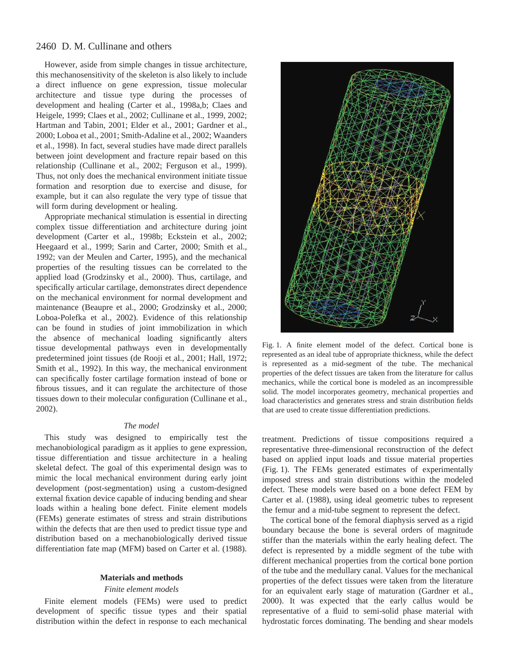However, aside from simple changes in tissue architecture, this mechanosensitivity of the skeleton is also likely to include a direct influence on gene expression, tissue molecular architecture and tissue type during the processes of development and healing (Carter et al., 1998a,b; Claes and Heigele, 1999; Claes et al., 2002; Cullinane et al., 1999, 2002; Hartman and Tabin, 2001; Elder et al., 2001; Gardner et al., 2000; Loboa et al., 2001; Smith-Adaline et al., 2002; Waanders et al., 1998). In fact, several studies have made direct parallels between joint development and fracture repair based on this relationship (Cullinane et al., 2002; Ferguson et al., 1999). Thus, not only does the mechanical environment initiate tissue formation and resorption due to exercise and disuse, for example, but it can also regulate the very type of tissue that will form during development or healing.

Appropriate mechanical stimulation is essential in directing complex tissue differentiation and architecture during joint development (Carter et al., 1998b; Eckstein et al., 2002; Heegaard et al., 1999; Sarin and Carter, 2000; Smith et al., 1992; van der Meulen and Carter, 1995), and the mechanical properties of the resulting tissues can be correlated to the applied load (Grodzinsky et al., 2000). Thus, cartilage, and specifically articular cartilage, demonstrates direct dependence on the mechanical environment for normal development and maintenance (Beaupre et al., 2000; Grodzinsky et al., 2000; Loboa-Polefka et al., 2002). Evidence of this relationship can be found in studies of joint immobilization in which the absence of mechanical loading significantly alters tissue developmental pathways even in developmentally predetermined joint tissues (de Rooji et al., 2001; Hall, 1972; Smith et al., 1992). In this way, the mechanical environment can specifically foster cartilage formation instead of bone or fibrous tissues, and it can regulate the architecture of those tissues down to their molecular configuration (Cullinane et al., 2002).

### *The model*

This study was designed to empirically test the mechanobiological paradigm as it applies to gene expression, tissue differentiation and tissue architecture in a healing skeletal defect. The goal of this experimental design was to mimic the local mechanical environment during early joint development (post-segmentation) using a custom-designed external fixation device capable of inducing bending and shear loads within a healing bone defect. Finite element models (FEMs) generate estimates of stress and strain distributions within the defects that are then used to predict tissue type and distribution based on a mechanobiologically derived tissue differentiation fate map (MFM) based on Carter et al. (1988).

### **Materials and methods**

### *Finite element models*

Finite element models (FEMs) were used to predict development of specific tissue types and their spatial distribution within the defect in response to each mechanical



Fig. 1. A finite element model of the defect. Cortical bone is represented as an ideal tube of appropriate thickness, while the defect is represented as a mid-segment of the tube. The mechanical properties of the defect tissues are taken from the literature for callus mechanics, while the cortical bone is modeled as an incompressible solid. The model incorporates geometry, mechanical properties and load characteristics and generates stress and strain distribution fields that are used to create tissue differentiation predictions.

treatment. Predictions of tissue compositions required a representative three-dimensional reconstruction of the defect based on applied input loads and tissue material properties (Fig. 1). The FEMs generated estimates of experimentally imposed stress and strain distributions within the modeled defect. These models were based on a bone defect FEM by Carter et al. (1988), using ideal geometric tubes to represent the femur and a mid-tube segment to represent the defect.

The cortical bone of the femoral diaphysis served as a rigid boundary because the bone is several orders of magnitude stiffer than the materials within the early healing defect. The defect is represented by a middle segment of the tube with different mechanical properties from the cortical bone portion of the tube and the medullary canal. Values for the mechanical properties of the defect tissues were taken from the literature for an equivalent early stage of maturation (Gardner et al., 2000). It was expected that the early callus would be representative of a fluid to semi-solid phase material with hydrostatic forces dominating. The bending and shear models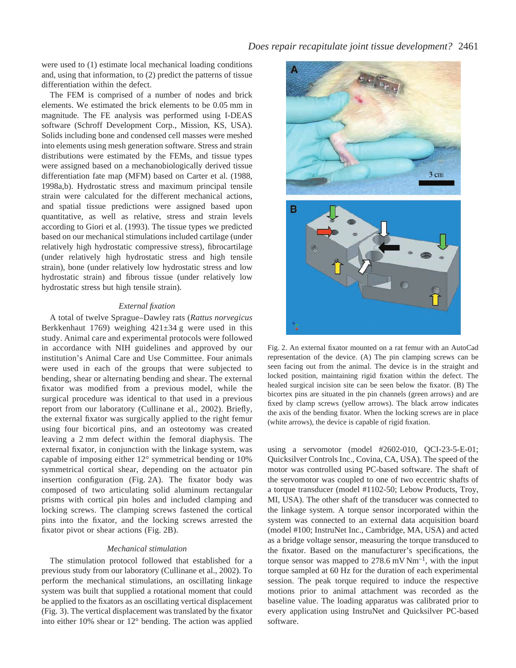were used to (1) estimate local mechanical loading conditions and, using that information, to (2) predict the patterns of tissue differentiation within the defect.

The FEM is comprised of a number of nodes and brick elements. We estimated the brick elements to be 0.05 mm in magnitude. The FE analysis was performed using I-DEAS software (Schroff Development Corp., Mission, KS, USA). Solids including bone and condensed cell masses were meshed into elements using mesh generation software. Stress and strain distributions were estimated by the FEMs, and tissue types were assigned based on a mechanobiologically derived tissue differentiation fate map (MFM) based on Carter et al. (1988, 1998a,b). Hydrostatic stress and maximum principal tensile strain were calculated for the different mechanical actions, and spatial tissue predictions were assigned based upon quantitative, as well as relative, stress and strain levels according to Giori et al. (1993). The tissue types we predicted based on our mechanical stimulations included cartilage (under relatively high hydrostatic compressive stress), fibrocartilage (under relatively high hydrostatic stress and high tensile strain), bone (under relatively low hydrostatic stress and low hydrostatic strain) and fibrous tissue (under relatively low hydrostatic stress but high tensile strain).

### *External fixation*

A total of twelve Sprague–Dawley rats (*Rattus norvegicus* Berkkenhaut 1769) weighing  $421\pm34$  g were used in this study. Animal care and experimental protocols were followed in accordance with NIH guidelines and approved by our institution's Animal Care and Use Committee. Four animals were used in each of the groups that were subjected to bending, shear or alternating bending and shear. The external fixator was modified from a previous model, while the surgical procedure was identical to that used in a previous report from our laboratory (Cullinane et al., 2002). Briefly, the external fixator was surgically applied to the right femur using four bicortical pins, and an osteotomy was created leaving a 2 mm defect within the femoral diaphysis. The external fixator, in conjunction with the linkage system, was capable of imposing either 12° symmetrical bending or 10% symmetrical cortical shear, depending on the actuator pin insertion configuration (Fig. 2A). The fixator body was composed of two articulating solid aluminum rectangular prisms with cortical pin holes and included clamping and locking screws. The clamping screws fastened the cortical pins into the fixator, and the locking screws arrested the fixator pivot or shear actions (Fig. 2B).

#### *Mechanical stimulation*

The stimulation protocol followed that established for a previous study from our laboratory (Cullinane et al., 2002). To perform the mechanical stimulations, an oscillating linkage system was built that supplied a rotational moment that could be applied to the fixators as an oscillating vertical displacement (Fig. 3). The vertical displacement was translated by the fixator into either 10% shear or 12° bending. The action was applied



Fig. 2. An external fixator mounted on a rat femur with an AutoCad representation of the device. (A) The pin clamping screws can be seen facing out from the animal. The device is in the straight and locked position, maintaining rigid fixation within the defect. The healed surgical incision site can be seen below the fixator. (B) The bicortex pins are situated in the pin channels (green arrows) and are fixed by clamp screws (yellow arrows). The black arrow indicates the axis of the bending fixator. When the locking screws are in place (white arrows), the device is capable of rigid fixation.

using a servomotor (model #2602-010, QCI-23-5-E-01; Quicksilver Controls Inc., Covina, CA, USA). The speed of the motor was controlled using PC-based software. The shaft of the servomotor was coupled to one of two eccentric shafts of a torque transducer (model #1102-50; Lebow Products, Troy, MI, USA). The other shaft of the transducer was connected to the linkage system. A torque sensor incorporated within the system was connected to an external data acquisition board (model #100; InstruNet Inc., Cambridge, MA, USA) and acted as a bridge voltage sensor, measuring the torque transduced to the fixator. Based on the manufacturer's specifications, the torque sensor was mapped to  $278.6 \text{ mV Nm}^{-1}$ , with the input torque sampled at 60 Hz for the duration of each experimental session. The peak torque required to induce the respective motions prior to animal attachment was recorded as the baseline value. The loading apparatus was calibrated prior to every application using InstruNet and Quicksilver PC-based software.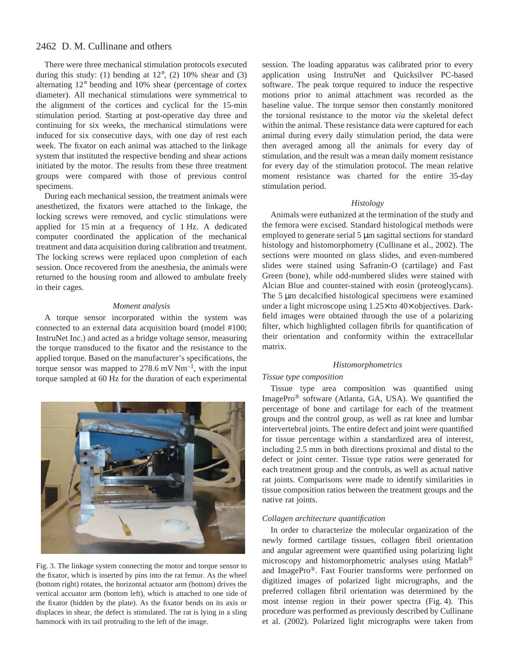There were three mechanical stimulation protocols executed during this study: (1) bending at  $12^{\circ}$ , (2)  $10\%$  shear and (3) alternating 12° bending and 10% shear (percentage of cortex diameter). All mechanical stimulations were symmetrical to the alignment of the cortices and cyclical for the 15-min stimulation period. Starting at post-operative day three and continuing for six weeks, the mechanical stimulations were induced for six consecutive days, with one day of rest each week. The fixator on each animal was attached to the linkage system that instituted the respective bending and shear actions initiated by the motor. The results from these three treatment groups were compared with those of previous control specimens.

During each mechanical session, the treatment animals were anesthetized, the fixators were attached to the linkage, the locking screws were removed, and cyclic stimulations were applied for 15 min at a frequency of 1 Hz. A dedicated computer coordinated the application of the mechanical treatment and data acquisition during calibration and treatment. The locking screws were replaced upon completion of each session. Once recovered from the anesthesia, the animals were returned to the housing room and allowed to ambulate freely in their cages.

### *Moment analysis*

A torque sensor incorporated within the system was connected to an external data acquisition board (model #100; InstruNet Inc.) and acted as a bridge voltage sensor, measuring the torque transduced to the fixator and the resistance to the applied torque. Based on the manufacturer's specifications, the torque sensor was mapped to  $278.6 \text{ mV Nm}^{-1}$ , with the input torque sampled at 60 Hz for the duration of each experimental



Fig. 3. The linkage system connecting the motor and torque sensor to the fixator, which is inserted by pins into the rat femur. As the wheel (bottom right) rotates, the horizontal actuator arm (bottom) drives the vertical accuator arm (bottom left), which is attached to one side of the fixator (hidden by the plate). As the fixator bends on its axis or displaces in shear, the defect is stimulated. The rat is lying in a sling hammock with its tail protruding to the left of the image.

session. The loading apparatus was calibrated prior to every application using InstruNet and Quicksilver PC-based software. The peak torque required to induce the respective motions prior to animal attachment was recorded as the baseline value. The torque sensor then constantly monitored the torsional resistance to the motor *via* the skeletal defect within the animal. These resistance data were captured for each animal during every daily stimulation period, the data were then averaged among all the animals for every day of stimulation, and the result was a mean daily moment resistance for every day of the stimulation protocol. The mean relative moment resistance was charted for the entire 35-day stimulation period.

### *Histology*

Animals were euthanized at the termination of the study and the femora were excised. Standard histological methods were employed to generate serial 5  $\mu$ m sagittal sections for standard histology and histomorphometry (Cullinane et al., 2002). The sections were mounted on glass slides, and even-numbered slides were stained using Safranin-O (cartilage) and Fast Green (bone), while odd-numbered slides were stained with Alcian Blue and counter-stained with eosin (proteoglycans). The  $5 \mu m$  decalcified histological specimens were examined under a light microscope using 1.25× to 40× objectives. Darkfield images were obtained through the use of a polarizing filter, which highlighted collagen fibrils for quantification of their orientation and conformity within the extracellular matrix.

### *Histomorphometrics*

### *Tissue type composition*

Tissue type area composition was quantified using ImagePro® software (Atlanta, GA, USA). We quantified the percentage of bone and cartilage for each of the treatment groups and the control group, as well as rat knee and lumbar intervertebral joints. The entire defect and joint were quantified for tissue percentage within a standardized area of interest, including 2.5 mm in both directions proximal and distal to the defect or joint center. Tissue type ratios were generated for each treatment group and the controls, as well as actual native rat joints. Comparisons were made to identify similarities in tissue composition ratios between the treatment groups and the native rat joints.

### *Collagen architecture quantification*

In order to characterize the molecular organization of the newly formed cartilage tissues, collagen fibril orientation and angular agreement were quantified using polarizing light microscopy and histomorphometric analyses using Matlab® and ImagePro®. Fast Fourier transforms were performed on digitized images of polarized light micrographs, and the preferred collagen fibril orientation was determined by the most intense region in their power spectra (Fig. 4). This procedure was performed as previously described by Cullinane et al. (2002). Polarized light micrographs were taken from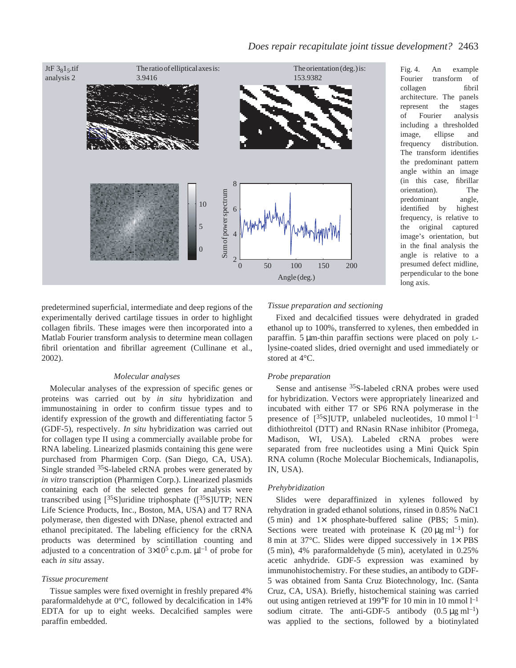

Fig. 4. An example Fourier transform of collagen fibril architecture. The panels represent the stages of Fourier analysis including a thresholded image, ellipse and frequency distribution. The transform identifies the predominant pattern angle within an image (in this case, fibrillar orientation). The predominant angle, identified by highest frequency, is relative to the original captured image's orientation, but in the final analysis the angle is relative to a presumed defect midline, perpendicular to the bone long axis.

predetermined superficial, intermediate and deep regions of the experimentally derived cartilage tissues in order to highlight collagen fibrils. These images were then incorporated into a Matlab Fourier transform analysis to determine mean collagen fibril orientation and fibrillar agreement (Cullinane et al., 2002).

### *Molecular analyses*

Molecular analyses of the expression of specific genes or proteins was carried out by *in situ* hybridization and immunostaining in order to confirm tissue types and to identify expression of the growth and differentiating factor 5 (GDF-5), respectively. *In situ* hybridization was carried out for collagen type II using a commercially available probe for RNA labeling. Linearized plasmids containing this gene were purchased from Pharmigen Corp. (San Diego, CA, USA). Single stranded 35S-labeled cRNA probes were generated by *in vitro* transcription (Pharmigen Corp.). Linearized plasmids containing each of the selected genes for analysis were transcribed using  $[35S]$ uridine triphosphate  $([35S]$ UTP; NEN Life Science Products, Inc., Boston, MA, USA) and T7 RNA polymerase, then digested with DNase, phenol extracted and ethanol precipitated. The labeling efficiency for the cRNA products was determined by scintillation counting and adjusted to a concentration of  $3\times10^5$  c.p.m.  $\mu$ l<sup>-1</sup> of probe for each *in situ* assay.

### *Tissue procurement*

Tissue samples were fixed overnight in freshly prepared 4% paraformaldehyde at 0°C, followed by decalcification in 14% EDTA for up to eight weeks. Decalcified samples were paraffin embedded.

### *Tissue preparation and sectioning*

Fixed and decalcified tissues were dehydrated in graded ethanol up to 100%, transferred to xylenes, then embedded in paraffin. 5  $\mu$ m-thin paraffin sections were placed on poly Llysine-coated slides, dried overnight and used immediately or stored at 4°C.

### *Probe preparation*

Sense and antisense 35S-labeled cRNA probes were used for hybridization. Vectors were appropriately linearized and incubated with either T7 or SP6 RNA polymerase in the presence of  $[^{35}S]$ UTP, unlabeled nucleotides, 10 mmol  $l^{-1}$ dithiothreitol (DTT) and RNasin RNase inhibitor (Promega, Madison, WI, USA). Labeled cRNA probes were separated from free nucleotides using a Mini Quick Spin RNA column (Roche Molecular Biochemicals, Indianapolis, IN, USA).

### *Prehybridization*

Slides were deparaffinized in xylenes followed by rehydration in graded ethanol solutions, rinsed in 0.85% NaC1  $(5 min)$  and  $1 \times$  phosphate-buffered saline (PBS; 5 min). Sections were treated with proteinase K  $(20 \mu g \text{ ml}^{-1})$  for 8 min at  $37^{\circ}$ C. Slides were dipped successively in  $1\times$  PBS  $(5 \text{ min})$ , 4% paraformaldehyde  $(5 \text{ min})$ , acetylated in 0.25% acetic anhydride. GDF-5 expression was examined by immunohistochemistry. For these studies, an antibody to GDF-5 was obtained from Santa Cruz Biotechnology, Inc. (Santa Cruz, CA, USA). Briefly, histochemical staining was carried out using antigen retrieved at 199°F for 10 min in 10 mmol  $l^{-1}$ sodium citrate. The anti-GDF-5 antibody  $(0.5 \text{ µg ml}^{-1})$ was applied to the sections, followed by a biotinylated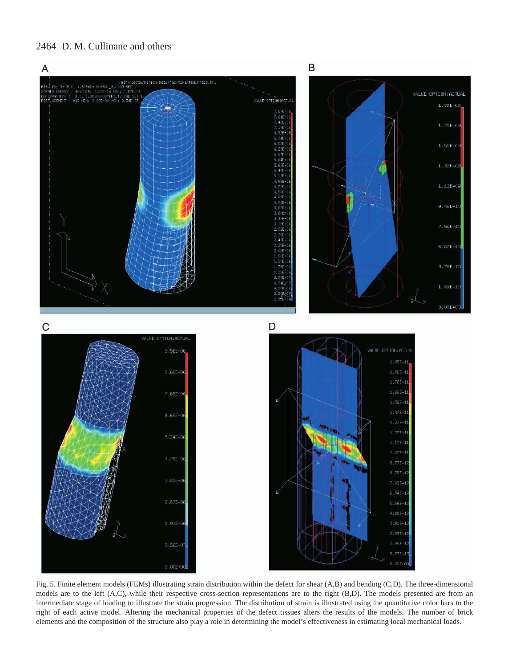

Fig. 5. Finite element models (FEMs) illustrating strain distribution within the defect for shear (A,B) and bending (C,D). The three-dimensional models are to the left (A,C), while their respective cross-section representations are to the right (B,D). The models presented are from an intermediate stage of loading to illustrate the strain progression. The distribution of strain is illustrated using the quantitative color bars to the right of each active model. Altering the mechanical properties of the defect tissues alters the results of the models. The number of brick elements and the composition of the structure also play a role in determining the model's effectiveness in estimating local mechanical loads.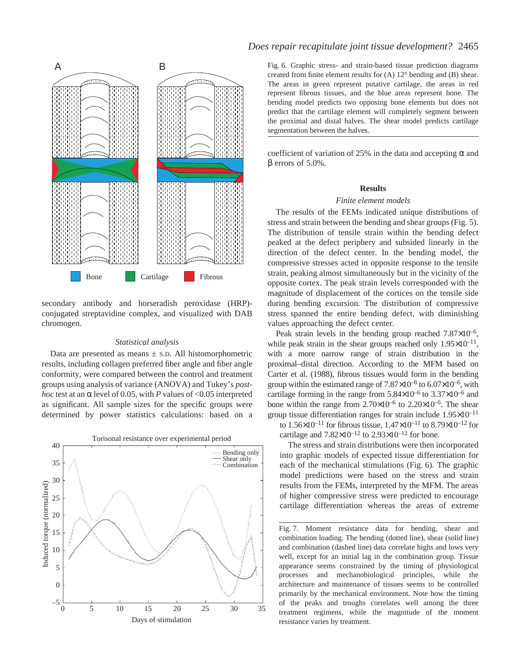

secondary antibody and horseradish peroxidase (HRP) conjugated streptavidine complex, and visualized with DAB chromogen.

### *Statistical analysis*

Data are presented as means  $\pm$  s.D. All histomorphometric results, including collagen preferred fiber angle and fiber angle conformity, were compared between the control and treatment groups using analysis of variance (ANOVA) and Tukey's *posthoc* test at an α level of 0.05, with *P* values of <0.05 interpreted as significant. All sample sizes for the specific groups were determined by power statistics calculations: based on a



### *Does repair recapitulate joint tissue development?* 2465

created from finite element results for (A) 12° bending and (B) shear. The areas in green represent putative cartilage, the areas in red represent fibrous tissues, and the blue areas represent bone. The bending model predicts two opposing bone elements but does not predict that the cartilage element will completely segment between the proximal and distal halves. The shear model predicts cartilage segmentation between the halves.

coefficient of variation of 25% in the data and accepting  $\alpha$  and β errors of 5.0%.

### **Results**

### *Finite element models*

The results of the FEMs indicated unique distributions of stress and strain between the bending and shear groups (Fig. 5). The distribution of tensile strain within the bending defect peaked at the defect periphery and subsided linearly in the direction of the defect center. In the bending model, the compressive stresses acted in opposite response to the tensile strain, peaking almost simultaneously but in the vicinity of the opposite cortex. The peak strain levels corresponded with the magnitude of displacement of the cortices on the tensile side during bending excursion. The distribution of compressive stress spanned the entire bending defect, with diminishing values approaching the defect center.

Peak strain levels in the bending group reached  $7.87\times10^{-6}$ , while peak strain in the shear groups reached only  $1.95 \times 10^{-11}$ , with a more narrow range of strain distribution in the proximal–distal direction. According to the MFM based on Carter et al. (1988), fibrous tissues would form in the bending group within the estimated range of  $7.87\times10^{-6}$  to  $6.07\times10^{-6}$ , with cartilage forming in the range from  $5.84\times10^{-6}$  to  $3.37\times10^{-6}$  and bone within the range from  $2.70\times10^{-6}$  to  $2.20\times10^{-6}$ . The shear group tissue differentiation ranges for strain include  $1.95\times10^{-11}$ to  $1.56 \times 10^{-11}$  for fibrous tissue,  $1.47 \times 10^{-11}$  to  $8.79 \times 10^{-12}$  for cartilage and  $7.82\times10^{-12}$  to  $2.93\times10^{-12}$  for bone.

The stress and strain distributions were then incorporated into graphic models of expected tissue differentiation for each of the mechanical stimulations (Fig.  $6$ ). The graphic model predictions were based on the stress and strain results from the FEMs, interpreted by the MFM. The areas of higher compressive stress were predicted to encourage cartilage differentiation whereas the areas of extreme

Fig. 7. Moment resistance data for bending, shear and combination loading. The bending (dotted line), shear (solid line) and combination (dashed line) data correlate highs and lows very well, except for an initial lag in the combination group. Tissue appearance seems constrained by the timing of physiological processes and mechanobiological principles, while the architecture and maintenance of tissues seems to be controlled primarily by the mechanical environment. Note how the timing of the peaks and troughs correlates well among the three treatment regimens, while the magnitude of the moment resistance varies by treatment.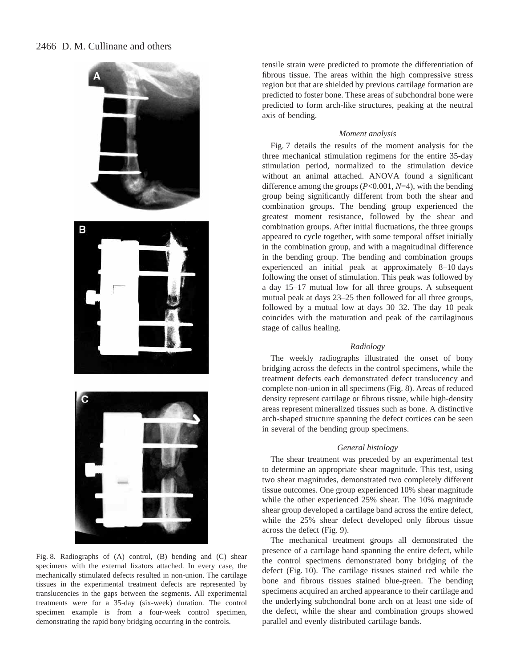

Fig. 8. Radiographs of (A) control, (B) bending and (C) shear specimens with the external fixators attached. In every case, the mechanically stimulated defects resulted in non-union. The cartilage tissues in the experimental treatment defects are represented by translucencies in the gaps between the segments. All experimental treatments were for a 35-day (six-week) duration. The control specimen example is from a four-week control specimen, demonstrating the rapid bony bridging occurring in the controls.

tensile strain were predicted to promote the differentiation of fibrous tissue. The areas within the high compressive stress region but that are shielded by previous cartilage formation are predicted to foster bone. These areas of subchondral bone were predicted to form arch-like structures, peaking at the neutral axis of bending.

### *Moment analysis*

Fig. 7 details the results of the moment analysis for the three mechanical stimulation regimens for the entire 35-day stimulation period, normalized to the stimulation device without an animal attached. ANOVA found a significant difference among the groups (*P*<0.001, *N*=4), with the bending group being significantly different from both the shear and combination groups. The bending group experienced the greatest moment resistance, followed by the shear and combination groups. After initial fluctuations, the three groups appeared to cycle together, with some temporal offset initially in the combination group, and with a magnitudinal difference in the bending group. The bending and combination groups experienced an initial peak at approximately 8–10 days following the onset of stimulation. This peak was followed by a day 15–17 mutual low for all three groups. A subsequent mutual peak at days 23–25 then followed for all three groups, followed by a mutual low at days 30–32. The day 10 peak coincides with the maturation and peak of the cartilaginous stage of callus healing.

### *Radiology*

The weekly radiographs illustrated the onset of bony bridging across the defects in the control specimens, while the treatment defects each demonstrated defect translucency and complete non-union in all specimens (Fig. 8). Areas of reduced density represent cartilage or fibrous tissue, while high-density areas represent mineralized tissues such as bone. A distinctive arch-shaped structure spanning the defect cortices can be seen in several of the bending group specimens.

### *General histology*

The shear treatment was preceded by an experimental test to determine an appropriate shear magnitude. This test, using two shear magnitudes, demonstrated two completely different tissue outcomes. One group experienced 10% shear magnitude while the other experienced 25% shear. The 10% magnitude shear group developed a cartilage band across the entire defect, while the 25% shear defect developed only fibrous tissue across the defect (Fig. 9).

The mechanical treatment groups all demonstrated the presence of a cartilage band spanning the entire defect, while the control specimens demonstrated bony bridging of the defect (Fig. 10). The cartilage tissues stained red while the bone and fibrous tissues stained blue-green. The bending specimens acquired an arched appearance to their cartilage and the underlying subchondral bone arch on at least one side of the defect, while the shear and combination groups showed parallel and evenly distributed cartilage bands.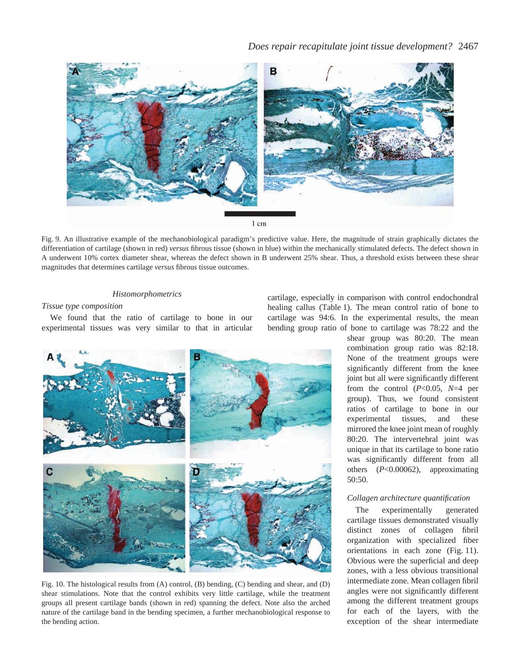

Fig. 9. An illustrative example of the mechanobiological paradigm's predictive value. Here, the magnitude of strain graphically dictates the differentiation of cartilage (shown in red) *versus* fibrous tissue (shown in blue) within the mechanically stimulated defects. The defect shown in A underwent 10% cortex diameter shear, whereas the defect shown in B underwent 25% shear. Thus, a threshold exists between these shear magnitudes that determines cartilage *versus* fibrous tissue outcomes.

### *Histomorphometrics*

### *Tissue type composition*

We found that the ratio of cartilage to bone in our experimental tissues was very similar to that in articular



Fig. 10. The histological results from (A) control, (B) bending, (C) bending and shear, and (D) shear stimulations. Note that the control exhibits very little cartilage, while the treatment groups all present cartilage bands (shown in red) spanning the defect. Note also the arched nature of the cartilage band in the bending specimen, a further mechanobiological response to the bending action.

cartilage, especially in comparison with control endochondral healing callus (Table 1). The mean control ratio of bone to cartilage was 94:6. In the experimental results, the mean bending group ratio of bone to cartilage was 78:22 and the

> shear group was 80:20. The mean combination group ratio was 82:18. None of the treatment groups were significantly different from the knee joint but all were significantly different from the control (*P*<0.05, *N*=4 per group). Thus, we found consistent ratios of cartilage to bone in our experimental tissues, and these mirrored the knee joint mean of roughly 80:20. The intervertebral joint was unique in that its cartilage to bone ratio was significantly different from all others (*P*<0.00062), approximating 50:50.

### *Collagen architecture quantification*

The experimentally generated cartilage tissues demonstrated visually distinct zones of collagen fibril organization with specialized fiber orientations in each zone (Fig. 11). Obvious were the superficial and deep zones, with a less obvious transitional intermediate zone. Mean collagen fibril angles were not significantly different among the different treatment groups for each of the layers, with the exception of the shear intermediate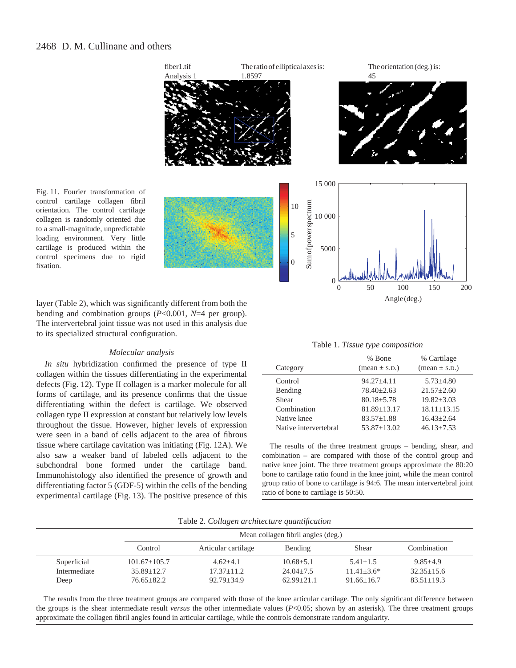

Fig. 11. Fourier transformation of control cartilage collagen fibril orientation. The control cartilage collagen is randomly oriented due to a small-magnitude, unpredictable loading environment. Very little cartilage is produced within the control specimens due to rigid fixation.

layer (Table 2), which was significantly different from both the bending and combination groups (*P*<0.001, *N*=4 per group). The intervertebral joint tissue was not used in this analysis due to its specialized structural configuration.

### *Molecular analysis*

*In situ* hybridization confirmed the presence of type II collagen within the tissues differentiating in the experimental defects (Fig. 12). Type II collagen is a marker molecule for all forms of cartilage, and its presence confirms that the tissue differentiating within the defect is cartilage. We observed collagen type II expression at constant but relatively low levels throughout the tissue. However, higher levels of expression were seen in a band of cells adjacent to the area of fibrous tissue where cartilage cavitation was initiating (Fig. 12A). We also saw a weaker band of labeled cells adjacent to the subchondral bone formed under the cartilage band. Immunohistology also identified the presence of growth and differentiating factor 5 (GDF-5) within the cells of the bending experimental cartilage (Fig. 13). The positive presence of this

Table 1. *Tissue type composition*

|                       | % Bone                          | % Cartilage                     |  |
|-----------------------|---------------------------------|---------------------------------|--|
| Category              | $(\text{mean} \pm \text{s.D.})$ | $(\text{mean} \pm \text{s.D.})$ |  |
| Control               | $94.27 \pm 4.11$                | $5.73 + 4.80$                   |  |
| Bending               | $78.40 + 2.63$                  | $21.57 + 2.60$                  |  |
| Shear                 | $80.18 + 5.78$                  | $19.82 + 3.03$                  |  |
| Combination           | $81.89 + 13.17$                 | $18.11 + 13.15$                 |  |
| Native knee           | $83.57 + 1.88$                  | $16.43 + 2.64$                  |  |
| Native intervertebral | $53.87 + 13.02$                 | $46.13 + 7.53$                  |  |

The results of the three treatment groups – bending, shear, and combination – are compared with those of the control group and native knee joint. The three treatment groups approximate the 80:20 bone to cartilage ratio found in the knee joint, while the mean control group ratio of bone to cartilage is 94:6. The mean intervertebral joint ratio of bone to cartilage is 50:50.

Table 2. *Collagen architecture quantification*

|              |                  | Mean collagen fibril angles (deg.) |                |                |                |  |  |
|--------------|------------------|------------------------------------|----------------|----------------|----------------|--|--|
|              | Control          | Articular cartilage                | Bending        | Shear          | Combination    |  |  |
| Superficial  | $101.67 + 105.7$ | $4.62 + 4.1$                       | $10.68 + 5.1$  | $5.41 + 1.5$   | $9.85 + 4.9$   |  |  |
| Intermediate | $35.89 + 12.7$   | $17.37 + 11.2$                     | $24.04 + 7.5$  | $11.41 + 3.6*$ | $32.35 + 15.6$ |  |  |
| Deep         | $76.65 + 82.2$   | $92.79 + 34.9$                     | $62.99 + 21.1$ | $91.66 + 16.7$ | $83.51 + 19.3$ |  |  |

The results from the three treatment groups are compared with those of the knee articular cartilage. The only significant difference between the groups is the shear intermediate result *versus* the other intermediate values (*P*<0.05; shown by an asterisk). The three treatment groups approximate the collagen fibril angles found in articular cartilage, while the controls demonstrate random angularity.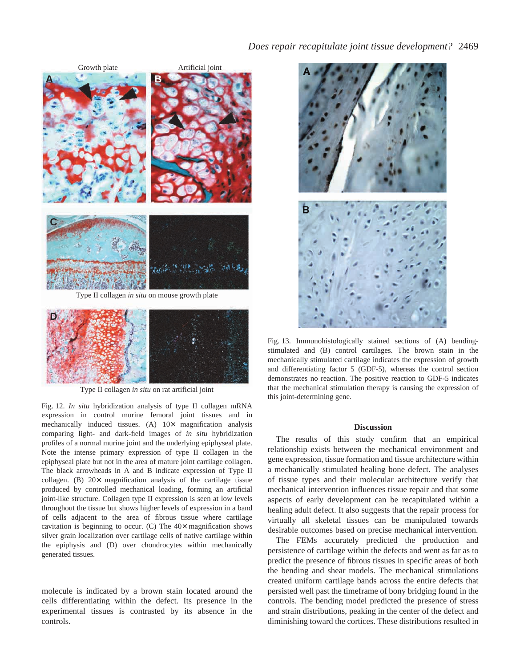



Type II collagen *in situ* on rat artificial joint

Fig. 12. *In situ* hybridization analysis of type II collagen mRNA expression in control murine femoral joint tissues and in mechanically induced tissues. (A)  $10\times$  magnification analysis comparing light- and dark-field images of *in situ* hybridization profiles of a normal murine joint and the underlying epiphyseal plate. Note the intense primary expression of type II collagen in the epiphyseal plate but not in the area of mature joint cartilage collagen. The black arrowheads in A and B indicate expression of Type II collagen. (B) 20× magnification analysis of the cartilage tissue produced by controlled mechanical loading, forming an artificial joint-like structure. Collagen type II expression is seen at low levels throughout the tissue but shows higher levels of expression in a band of cells adjacent to the area of fibrous tissue where cartilage cavitation is beginning to occur. (C) The  $40\times$  magnification shows silver grain localization over cartilage cells of native cartilage within the epiphysis and (D) over chondrocytes within mechanically generated tissues.

molecule is indicated by a brown stain located around the cells differentiating within the defect. Its presence in the experimental tissues is contrasted by its absence in the controls.



Fig. 13. Immunohistologically stained sections of (A) bendingstimulated and (B) control cartilages. The brown stain in the mechanically stimulated cartilage indicates the expression of growth and differentiating factor 5 (GDF-5), whereas the control section demonstrates no reaction. The positive reaction to GDF-5 indicates that the mechanical stimulation therapy is causing the expression of this joint-determining gene.

### **Discussion**

The results of this study confirm that an empirical relationship exists between the mechanical environment and gene expression, tissue formation and tissue architecture within a mechanically stimulated healing bone defect. The analyses of tissue types and their molecular architecture verify that mechanical intervention influences tissue repair and that some aspects of early development can be recapitulated within a healing adult defect. It also suggests that the repair process for virtually all skeletal tissues can be manipulated towards desirable outcomes based on precise mechanical intervention.

The FEMs accurately predicted the production and persistence of cartilage within the defects and went as far as to predict the presence of fibrous tissues in specific areas of both the bending and shear models. The mechanical stimulations created uniform cartilage bands across the entire defects that persisted well past the timeframe of bony bridging found in the controls. The bending model predicted the presence of stress and strain distributions, peaking in the center of the defect and diminishing toward the cortices. These distributions resulted in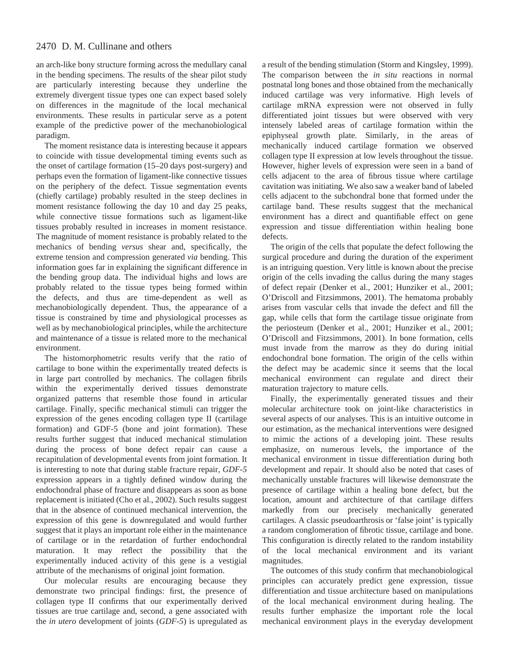an arch-like bony structure forming across the medullary canal in the bending specimens. The results of the shear pilot study are particularly interesting because they underline the extremely divergent tissue types one can expect based solely on differences in the magnitude of the local mechanical environments. These results in particular serve as a potent example of the predictive power of the mechanobiological paradigm.

The moment resistance data is interesting because it appears to coincide with tissue developmental timing events such as the onset of cartilage formation (15–20 days post-surgery) and perhaps even the formation of ligament-like connective tissues on the periphery of the defect. Tissue segmentation events (chiefly cartilage) probably resulted in the steep declines in moment resistance following the day 10 and day 25 peaks, while connective tissue formations such as ligament-like tissues probably resulted in increases in moment resistance. The magnitude of moment resistance is probably related to the mechanics of bending *versus* shear and, specifically, the extreme tension and compression generated *via* bending. This information goes far in explaining the significant difference in the bending group data. The individual highs and lows are probably related to the tissue types being formed within the defects, and thus are time-dependent as well as mechanobiologically dependent. Thus, the appearance of a tissue is constrained by time and physiological processes as well as by mechanobiological principles, while the architecture and maintenance of a tissue is related more to the mechanical environment.

The histomorphometric results verify that the ratio of cartilage to bone within the experimentally treated defects is in large part controlled by mechanics. The collagen fibrils within the experimentally derived tissues demonstrate organized patterns that resemble those found in articular cartilage. Finally, specific mechanical stimuli can trigger the expression of the genes encoding collagen type II (cartilage formation) and GDF-5 (bone and joint formation). These results further suggest that induced mechanical stimulation during the process of bone defect repair can cause a recapitulation of developmental events from joint formation. It is interesting to note that during stable fracture repair, *GDF-5* expression appears in a tightly defined window during the endochondral phase of fracture and disappears as soon as bone replacement is initiated (Cho et al., 2002). Such results suggest that in the absence of continued mechanical intervention, the expression of this gene is downregulated and would further suggest that it plays an important role either in the maintenance of cartilage or in the retardation of further endochondral maturation. It may reflect the possibility that the experimentally induced activity of this gene is a vestigial attribute of the mechanisms of original joint formation.

Our molecular results are encouraging because they demonstrate two principal findings: first, the presence of collagen type II confirms that our experimentally derived tissues are true cartilage and, second, a gene associated with the *in utero* development of joints (*GDF-5*) is upregulated as

a result of the bending stimulation (Storm and Kingsley, 1999). The comparison between the *in situ* reactions in normal postnatal long bones and those obtained from the mechanically induced cartilage was very informative. High levels of cartilage mRNA expression were not observed in fully differentiated joint tissues but were observed with very intensely labeled areas of cartilage formation within the epiphyseal growth plate. Similarly, in the areas of mechanically induced cartilage formation we observed collagen type II expression at low levels throughout the tissue. However, higher levels of expression were seen in a band of cells adjacent to the area of fibrous tissue where cartilage cavitation was initiating. We also saw a weaker band of labeled cells adjacent to the subchondral bone that formed under the cartilage band. These results suggest that the mechanical environment has a direct and quantifiable effect on gene expression and tissue differentiation within healing bone defects.

The origin of the cells that populate the defect following the surgical procedure and during the duration of the experiment is an intriguing question. Very little is known about the precise origin of the cells invading the callus during the many stages of defect repair (Denker et al., 2001; Hunziker et al., 2001; O'Driscoll and Fitzsimmons, 2001). The hematoma probably arises from vascular cells that invade the defect and fill the gap, while cells that form the cartilage tissue originate from the periosteum (Denker et al., 2001; Hunziker et al., 2001; O'Driscoll and Fitzsimmons, 2001). In bone formation, cells must invade from the marrow as they do during initial endochondral bone formation. The origin of the cells within the defect may be academic since it seems that the local mechanical environment can regulate and direct their maturation trajectory to mature cells.

Finally, the experimentally generated tissues and their molecular architecture took on joint-like characteristics in several aspects of our analyses. This is an intuitive outcome in our estimation, as the mechanical interventions were designed to mimic the actions of a developing joint. These results emphasize, on numerous levels, the importance of the mechanical environment in tissue differentiation during both development and repair. It should also be noted that cases of mechanically unstable fractures will likewise demonstrate the presence of cartilage within a healing bone defect, but the location, amount and architecture of that cartilage differs markedly from our precisely mechanically generated cartilages. A classic pseudoarthrosis or 'false joint' is typically a random conglomeration of fibrotic tissue, cartilage and bone. This configuration is directly related to the random instability of the local mechanical environment and its variant magnitudes.

The outcomes of this study confirm that mechanobiological principles can accurately predict gene expression, tissue differentiation and tissue architecture based on manipulations of the local mechanical environment during healing. The results further emphasize the important role the local mechanical environment plays in the everyday development